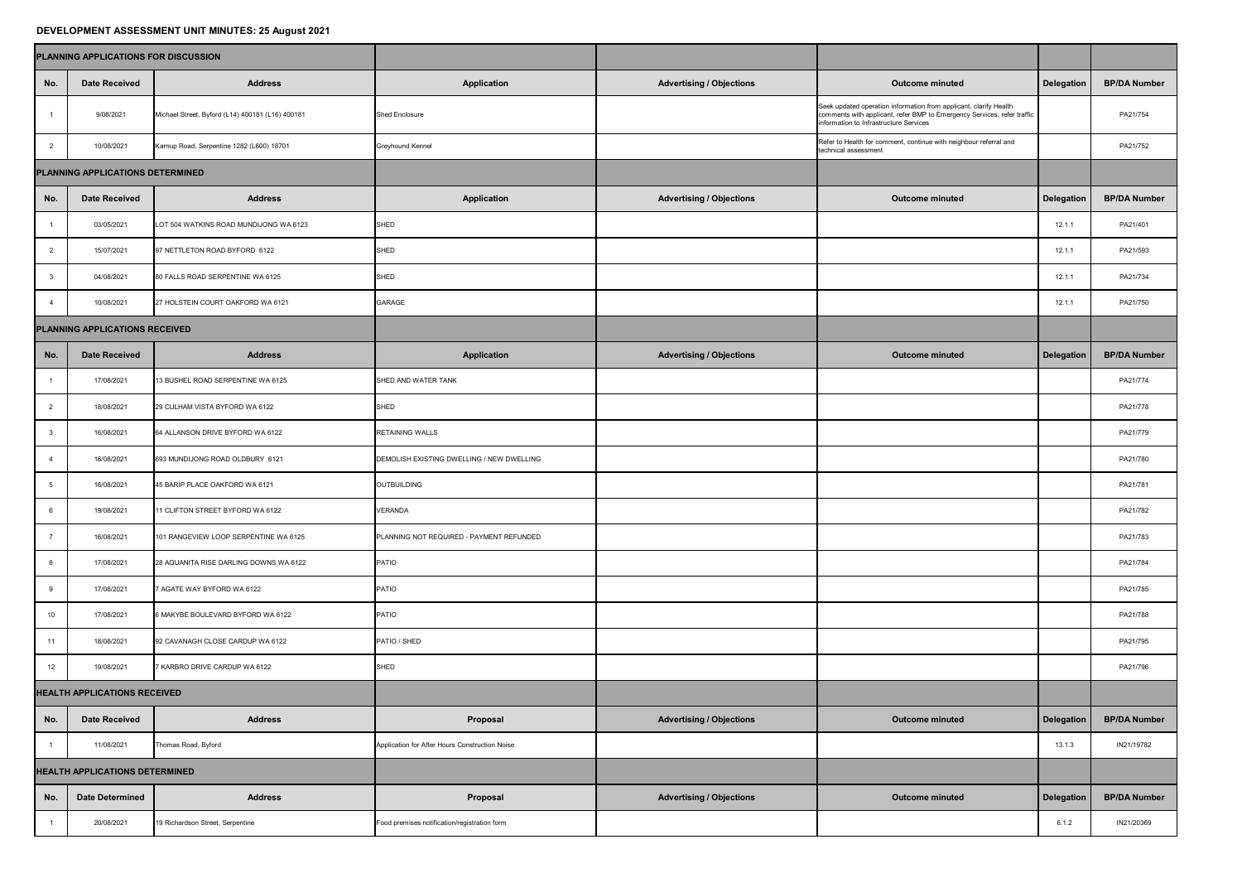## **DEVELOPMENT ASSESSMENT UNIT MINUTES: 25 August 2021**

|                                       | PLANNING APPLICATIONS FOR DISCUSSION |                                                  |                                                |                                 |                                                                                                                                                                                        |            |                     |
|---------------------------------------|--------------------------------------|--------------------------------------------------|------------------------------------------------|---------------------------------|----------------------------------------------------------------------------------------------------------------------------------------------------------------------------------------|------------|---------------------|
| No.                                   | <b>Date Received</b>                 | <b>Address</b>                                   | <b>Application</b>                             | <b>Advertising / Objections</b> | <b>Outcome minuted</b>                                                                                                                                                                 | Delegation | <b>BP/DA Number</b> |
|                                       | 9/08/2021                            | Michael Street, Byford (L14) 400181 (L16) 400181 | <b>Shed Enclosure</b>                          |                                 | Seek updated operation information from applicant, clarify Health<br>comments with applicant, refer BMP to Emergency Services, refer traffic<br>information to Infrastructure Services |            | PA21/754            |
| 2                                     | 10/08/2021                           | Karnup Road, Serpentine 1282 (L600) 18701        | <b>Greyhound Kennel</b>                        |                                 | Refer to Health for comment, continue with neighbour referral and<br>technical assessment                                                                                              |            | PA21/752            |
| PLANNING APPLICATIONS DETERMINED      |                                      |                                                  |                                                |                                 |                                                                                                                                                                                        |            |                     |
| No.                                   | <b>Date Received</b>                 | <b>Address</b>                                   | <b>Application</b>                             | <b>Advertising / Objections</b> | <b>Outcome minuted</b>                                                                                                                                                                 | Delegation | <b>BP/DA Number</b> |
|                                       | 03/05/2021                           | LOT 504 WATKINS ROAD MUNDIJONG WA 6123           | <b>SHED</b>                                    |                                 |                                                                                                                                                                                        | 12.1.7     | PA21/401            |
| 2                                     | 15/07/2021                           | 97 NETTLETON ROAD BYFORD 6122                    | <b>SHED</b>                                    |                                 |                                                                                                                                                                                        | 12.1.      | PA21/593            |
|                                       | 04/08/2021                           | 80 FALLS ROAD SERPENTINE WA 6125                 | <b>SHED</b>                                    |                                 |                                                                                                                                                                                        | 12.1.      | PA21/734            |
|                                       | 10/08/2021                           | 27 HOLSTEIN COURT OAKFORD WA 6121                | <b>GARAGE</b>                                  |                                 |                                                                                                                                                                                        | 12.1.7     | PA21/750            |
| PLANNING APPLICATIONS RECEIVED        |                                      |                                                  |                                                |                                 |                                                                                                                                                                                        |            |                     |
| No.                                   | <b>Date Received</b>                 | <b>Address</b>                                   | <b>Application</b>                             | Advertising / Objections        | <b>Outcome minuted</b>                                                                                                                                                                 | Delegation | <b>BP/DA Number</b> |
|                                       | 17/08/2021                           | 13 BUSHEL ROAD SERPENTINE WA 6125                | SHED AND WATER TANK                            |                                 |                                                                                                                                                                                        |            | PA21/774            |
|                                       | 18/08/2021                           | 29 CULHAM VISTA BYFORD WA 6122                   | <b>SHED</b>                                    |                                 |                                                                                                                                                                                        |            | PA21/778            |
|                                       | 16/08/2021                           | 64 ALLANSON DRIVE BYFORD WA 6122                 | <b>RETAINING WALLS</b>                         |                                 |                                                                                                                                                                                        |            | PA21/779            |
|                                       | 16/08/2021                           | 693 MUNDIJONG ROAD OLDBURY 6121                  | DEMOLISH EXISTING DWELLING / NEW DWELLING      |                                 |                                                                                                                                                                                        |            | PA21/780            |
|                                       | 16/08/2021                           | 45 BARIP PLACE OAKFORD WA 6121                   | OUTBUILDING                                    |                                 |                                                                                                                                                                                        |            | PA21/781            |
|                                       | 19/08/2021                           | 11 CLIFTON STREET BYFORD WA 6122                 | <b>VERANDA</b>                                 |                                 |                                                                                                                                                                                        |            | PA21/782            |
|                                       | 16/08/2021                           | 101 RANGEVIEW LOOP SERPENTINE WA 6125            | PLANNING NOT REQUIRED - PAYMENT REFUNDED       |                                 |                                                                                                                                                                                        |            | PA21/783            |
|                                       | 17/08/2021                           | 28 AQUANITA RISE DARLING DOWNS WA 6122           | <b>PATIO</b>                                   |                                 |                                                                                                                                                                                        |            | PA21/784            |
|                                       | 17/08/2021                           | 7 AGATE WAY BYFORD WA 6122                       | PATIO                                          |                                 |                                                                                                                                                                                        |            | PA21/785            |
| 10                                    | 17/08/2021                           | 6 MAKYBE BOULEVARD BYFORD WA 6122                | <b>PATIO</b>                                   |                                 |                                                                                                                                                                                        |            | PA21/788            |
| 11                                    | 18/08/2021                           | 92 CAVANAGH CLOSE CARDUP WA 6122                 | PATIO / SHED                                   |                                 |                                                                                                                                                                                        |            | PA21/795            |
| 12                                    | 19/08/2021                           | 7 KARBRO DRIVE CARDUP WA 6122                    | <b>SHED</b>                                    |                                 |                                                                                                                                                                                        |            | PA21/796            |
| <b>HEALTH APPLICATIONS RECEIVED</b>   |                                      |                                                  |                                                |                                 |                                                                                                                                                                                        |            |                     |
| No.                                   | <b>Date Received</b>                 | <b>Address</b>                                   | <b>Proposal</b>                                | <b>Advertising / Objections</b> | <b>Outcome minuted</b>                                                                                                                                                                 | Delegation | <b>BP/DA Number</b> |
|                                       | 11/08/2021                           | Thomas Road, Byford                              | Application for After Hours Construction Noise |                                 |                                                                                                                                                                                        | 13.1.3     | IN21/19782          |
| <b>HEALTH APPLICATIONS DETERMINED</b> |                                      |                                                  |                                                |                                 |                                                                                                                                                                                        |            |                     |
| No.                                   | <b>Date Determined</b>               | <b>Address</b>                                   | <b>Proposal</b>                                | <b>Advertising / Objections</b> | <b>Outcome minuted</b>                                                                                                                                                                 | Delegation | <b>BP/DA Number</b> |
|                                       | 20/08/2021                           | 19 Richardson Street, Serpentine                 | Food premises notification/registration form   |                                 |                                                                                                                                                                                        | 6.1.2      | IN21/20369          |